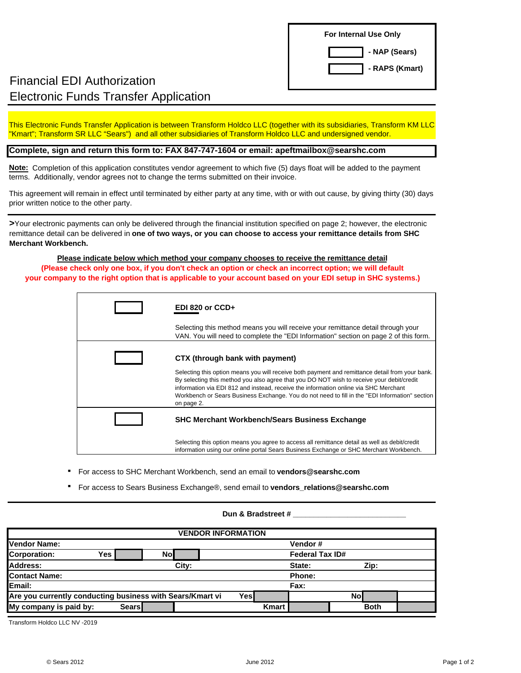

# Financial EDI Authorization Electronic Funds Transfer Application

This Electronic Funds Transfer Application is between Transform Holdco LLC (together with its subsidiaries, Transform KM LLC "Kmart"; Transform SR LLC "Sears") and all other subsidiaries of Transform Holdco LLC and undersigned vendor.

### **Complete, sign and return this form to: FAX 847-747-1604 or email: apeftmailbox@searshc.com**

**Note:** Completion of this application constitutes vendor agreement to which five (5) days float will be added to the payment terms. Additionally, vendor agrees not to change the terms submitted on their invoice.

This agreement will remain in effect until terminated by either party at any time, with or with out cause, by giving thirty (30) days prior written notice to the other party.

**>**Your electronic payments can only be delivered through the financial institution specified on page 2; however, the electronic remittance detail can be delivered in **one of two ways, or you can choose to access your remittance details from SHC Merchant Workbench.** 

### **Please indicate below which method your company chooses to receive the remittance detail (Please check only one box, if you don't check an option or check an incorrect option; we will default your company to the right option that is applicable to your account based on your EDI setup in SHC systems.)**

| EDI 820 or $CCD+$                                                                                                                                                                                                                                                                                                                                                                                                                       |
|-----------------------------------------------------------------------------------------------------------------------------------------------------------------------------------------------------------------------------------------------------------------------------------------------------------------------------------------------------------------------------------------------------------------------------------------|
| Selecting this method means you will receive your remittance detail through your<br>VAN. You will need to complete the "EDI Information" section on page 2 of this form.                                                                                                                                                                                                                                                                |
| CTX (through bank with payment)<br>Selecting this option means you will receive both payment and remittance detail from your bank.<br>By selecting this method you also agree that you DO NOT wish to receive your debit/credit<br>information via EDI 812 and instead, receive the information online via SHC Merchant<br>Workbench or Sears Business Exchange. You do not need to fill in the "EDI Information" section<br>on page 2. |
| <b>SHC Merchant Workbench/Sears Business Exchange</b>                                                                                                                                                                                                                                                                                                                                                                                   |
| Selecting this option means you agree to access all remittance detail as well as debit/credit<br>information using our online portal Sears Business Exchange or SHC Merchant Workbench.                                                                                                                                                                                                                                                 |

- **.**For access to SHC Merchant Workbench, send an email to **vendors@searshc.com**
- **.**For access to Sears Business Exchange®, send email to **vendors\_relations@searshc.com**

#### **Dun & Bradstreet # \_\_\_\_\_\_\_\_\_\_\_\_\_\_\_\_\_\_\_\_\_\_\_\_\_\_\_**

| <b>VENDOR INFORMATION</b>                                         |       |         |                        |              |            |  |             |  |
|-------------------------------------------------------------------|-------|---------|------------------------|--------------|------------|--|-------------|--|
| Vendor Name:                                                      |       | Vendor# |                        |              |            |  |             |  |
| <b>Yes</b><br><b>Corporation:</b>                                 | Nol   |         | <b>Federal Tax ID#</b> |              |            |  |             |  |
| Address:                                                          |       | City:   |                        |              | State:     |  | Zip:        |  |
| <b>Contact Name:</b>                                              |       | Phone:  |                        |              |            |  |             |  |
| Email:                                                            |       |         |                        |              | Fax:       |  |             |  |
| Are you currently conducting business with Sears/Kmart vi<br>Yesl |       |         |                        |              | <b>Nol</b> |  |             |  |
| My company is paid by:                                            | Sears |         |                        | <b>Kmart</b> |            |  | <b>Both</b> |  |

Transform Holdco LLC NV -2019